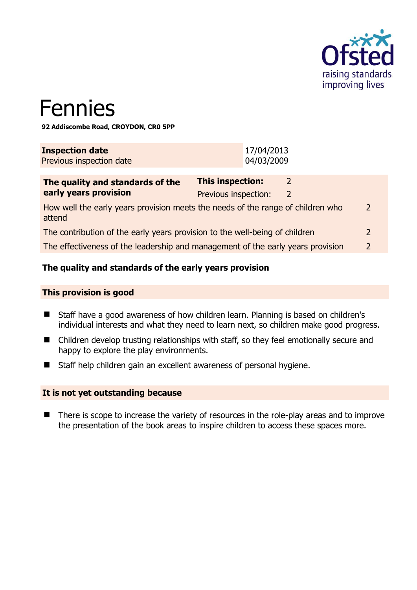

# Fennies

**92 Addiscombe Road, CROYDON, CR0 5PP** 

| <b>Inspection date</b>   | 17/04/2013 |
|--------------------------|------------|
| Previous inspection date | 04/03/2009 |

| The quality and standards of the                                                          | <b>This inspection:</b> |   |                |
|-------------------------------------------------------------------------------------------|-------------------------|---|----------------|
| early years provision                                                                     | Previous inspection:    | 2 |                |
| How well the early years provision meets the needs of the range of children who<br>attend |                         |   | $\overline{2}$ |
| The contribution of the early years provision to the well-being of children               |                         |   | $\mathcal{L}$  |
| The effectiveness of the leadership and management of the early years provision           |                         |   | $\mathcal{L}$  |
|                                                                                           |                         |   |                |

# **The quality and standards of the early years provision**

#### **This provision is good**

- Staff have a good awareness of how children learn. Planning is based on children's individual interests and what they need to learn next, so children make good progress.
- Children develop trusting relationships with staff, so they feel emotionally secure and happy to explore the play environments.
- Staff help children gain an excellent awareness of personal hygiene.

#### **It is not yet outstanding because**

■ There is scope to increase the variety of resources in the role-play areas and to improve the presentation of the book areas to inspire children to access these spaces more.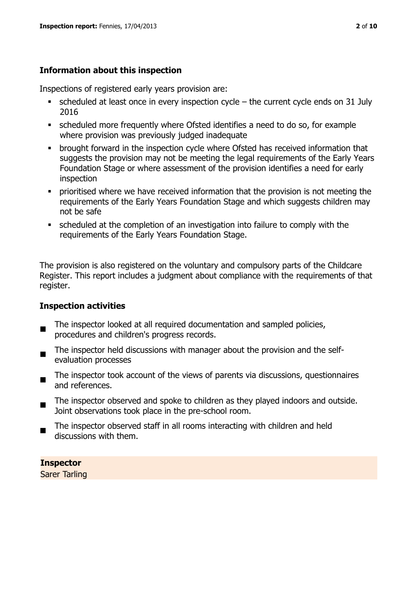# **Information about this inspection**

Inspections of registered early years provision are:

- $\blacksquare$  scheduled at least once in every inspection cycle the current cycle ends on 31 July 2016
- scheduled more frequently where Ofsted identifies a need to do so, for example where provision was previously judged inadequate
- **•** brought forward in the inspection cycle where Ofsted has received information that suggests the provision may not be meeting the legal requirements of the Early Years Foundation Stage or where assessment of the provision identifies a need for early inspection
- **•** prioritised where we have received information that the provision is not meeting the requirements of the Early Years Foundation Stage and which suggests children may not be safe
- scheduled at the completion of an investigation into failure to comply with the requirements of the Early Years Foundation Stage.

The provision is also registered on the voluntary and compulsory parts of the Childcare Register. This report includes a judgment about compliance with the requirements of that register.

# **Inspection activities**

- $\blacksquare$ The inspector looked at all required documentation and sampled policies, procedures and children's progress records.
- The inspector held discussions with manager about the provision and the selfevaluation processes
- The inspector took account of the views of parents via discussions, questionnaires and references.
- $\blacksquare$ The inspector observed and spoke to children as they played indoors and outside. Joint observations took place in the pre-school room.
- The inspector observed staff in all rooms interacting with children and held discussions with them.

**Inspector**  Sarer Tarling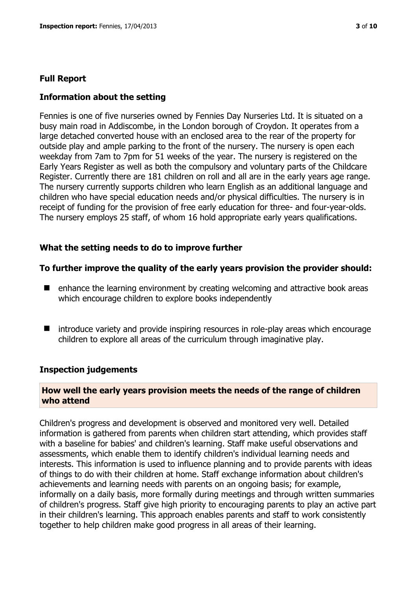#### **Full Report**

#### **Information about the setting**

Fennies is one of five nurseries owned by Fennies Day Nurseries Ltd. It is situated on a busy main road in Addiscombe, in the London borough of Croydon. It operates from a large detached converted house with an enclosed area to the rear of the property for outside play and ample parking to the front of the nursery. The nursery is open each weekday from 7am to 7pm for 51 weeks of the year. The nursery is registered on the Early Years Register as well as both the compulsory and voluntary parts of the Childcare Register. Currently there are 181 children on roll and all are in the early years age range. The nursery currently supports children who learn English as an additional language and children who have special education needs and/or physical difficulties. The nursery is in receipt of funding for the provision of free early education for three- and four-year-olds. The nursery employs 25 staff, of whom 16 hold appropriate early years qualifications.

#### **What the setting needs to do to improve further**

#### **To further improve the quality of the early years provision the provider should:**

- $\blacksquare$  enhance the learning environment by creating welcoming and attractive book areas which encourage children to explore books independently
- introduce variety and provide inspiring resources in role-play areas which encourage children to explore all areas of the curriculum through imaginative play.

#### **Inspection judgements**

#### **How well the early years provision meets the needs of the range of children who attend**

Children's progress and development is observed and monitored very well. Detailed information is gathered from parents when children start attending, which provides staff with a baseline for babies' and children's learning. Staff make useful observations and assessments, which enable them to identify children's individual learning needs and interests. This information is used to influence planning and to provide parents with ideas of things to do with their children at home. Staff exchange information about children's achievements and learning needs with parents on an ongoing basis; for example, informally on a daily basis, more formally during meetings and through written summaries of children's progress. Staff give high priority to encouraging parents to play an active part in their children's learning. This approach enables parents and staff to work consistently together to help children make good progress in all areas of their learning.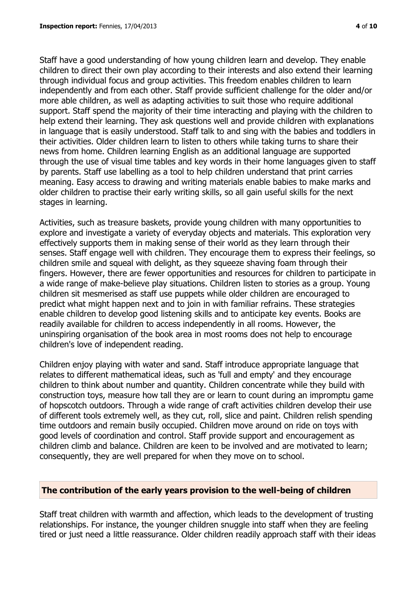Staff have a good understanding of how young children learn and develop. They enable children to direct their own play according to their interests and also extend their learning through individual focus and group activities. This freedom enables children to learn independently and from each other. Staff provide sufficient challenge for the older and/or more able children, as well as adapting activities to suit those who require additional support. Staff spend the majority of their time interacting and playing with the children to help extend their learning. They ask questions well and provide children with explanations in language that is easily understood. Staff talk to and sing with the babies and toddlers in their activities. Older children learn to listen to others while taking turns to share their news from home. Children learning English as an additional language are supported through the use of visual time tables and key words in their home languages given to staff by parents. Staff use labelling as a tool to help children understand that print carries meaning. Easy access to drawing and writing materials enable babies to make marks and older children to practise their early writing skills, so all gain useful skills for the next stages in learning.

Activities, such as treasure baskets, provide young children with many opportunities to explore and investigate a variety of everyday objects and materials. This exploration very effectively supports them in making sense of their world as they learn through their senses. Staff engage well with children. They encourage them to express their feelings, so children smile and squeal with delight, as they squeeze shaving foam through their fingers. However, there are fewer opportunities and resources for children to participate in a wide range of make-believe play situations. Children listen to stories as a group. Young children sit mesmerised as staff use puppets while older children are encouraged to predict what might happen next and to join in with familiar refrains. These strategies enable children to develop good listening skills and to anticipate key events. Books are readily available for children to access independently in all rooms. However, the uninspiring organisation of the book area in most rooms does not help to encourage children's love of independent reading.

Children enjoy playing with water and sand. Staff introduce appropriate language that relates to different mathematical ideas, such as 'full and empty' and they encourage children to think about number and quantity. Children concentrate while they build with construction toys, measure how tall they are or learn to count during an impromptu game of hopscotch outdoors. Through a wide range of craft activities children develop their use of different tools extremely well, as they cut, roll, slice and paint. Children relish spending time outdoors and remain busily occupied. Children move around on ride on toys with good levels of coordination and control. Staff provide support and encouragement as children climb and balance. Children are keen to be involved and are motivated to learn; consequently, they are well prepared for when they move on to school.

#### **The contribution of the early years provision to the well-being of children**

Staff treat children with warmth and affection, which leads to the development of trusting relationships. For instance, the younger children snuggle into staff when they are feeling tired or just need a little reassurance. Older children readily approach staff with their ideas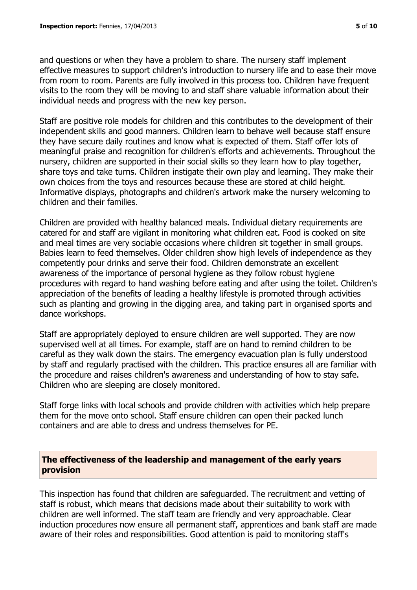and questions or when they have a problem to share. The nursery staff implement effective measures to support children's introduction to nursery life and to ease their move from room to room. Parents are fully involved in this process too. Children have frequent visits to the room they will be moving to and staff share valuable information about their individual needs and progress with the new key person.

Staff are positive role models for children and this contributes to the development of their independent skills and good manners. Children learn to behave well because staff ensure they have secure daily routines and know what is expected of them. Staff offer lots of meaningful praise and recognition for children's efforts and achievements. Throughout the nursery, children are supported in their social skills so they learn how to play together, share toys and take turns. Children instigate their own play and learning. They make their own choices from the toys and resources because these are stored at child height. Informative displays, photographs and children's artwork make the nursery welcoming to children and their families.

Children are provided with healthy balanced meals. Individual dietary requirements are catered for and staff are vigilant in monitoring what children eat. Food is cooked on site and meal times are very sociable occasions where children sit together in small groups. Babies learn to feed themselves. Older children show high levels of independence as they competently pour drinks and serve their food. Children demonstrate an excellent awareness of the importance of personal hygiene as they follow robust hygiene procedures with regard to hand washing before eating and after using the toilet. Children's appreciation of the benefits of leading a healthy lifestyle is promoted through activities such as planting and growing in the digging area, and taking part in organised sports and dance workshops.

Staff are appropriately deployed to ensure children are well supported. They are now supervised well at all times. For example, staff are on hand to remind children to be careful as they walk down the stairs. The emergency evacuation plan is fully understood by staff and regularly practised with the children. This practice ensures all are familiar with the procedure and raises children's awareness and understanding of how to stay safe. Children who are sleeping are closely monitored.

Staff forge links with local schools and provide children with activities which help prepare them for the move onto school. Staff ensure children can open their packed lunch containers and are able to dress and undress themselves for PE.

#### **The effectiveness of the leadership and management of the early years provision**

This inspection has found that children are safeguarded. The recruitment and vetting of staff is robust, which means that decisions made about their suitability to work with children are well informed. The staff team are friendly and very approachable. Clear induction procedures now ensure all permanent staff, apprentices and bank staff are made aware of their roles and responsibilities. Good attention is paid to monitoring staff's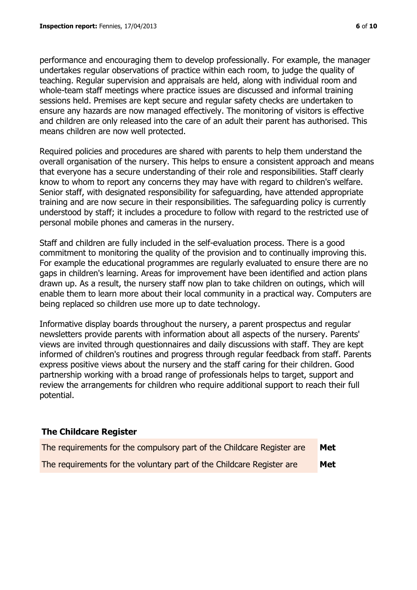performance and encouraging them to develop professionally. For example, the manager undertakes regular observations of practice within each room, to judge the quality of teaching. Regular supervision and appraisals are held, along with individual room and whole-team staff meetings where practice issues are discussed and informal training sessions held. Premises are kept secure and regular safety checks are undertaken to ensure any hazards are now managed effectively. The monitoring of visitors is effective and children are only released into the care of an adult their parent has authorised. This means children are now well protected.

Required policies and procedures are shared with parents to help them understand the overall organisation of the nursery. This helps to ensure a consistent approach and means that everyone has a secure understanding of their role and responsibilities. Staff clearly know to whom to report any concerns they may have with regard to children's welfare. Senior staff, with designated responsibility for safeguarding, have attended appropriate training and are now secure in their responsibilities. The safeguarding policy is currently understood by staff; it includes a procedure to follow with regard to the restricted use of personal mobile phones and cameras in the nursery.

Staff and children are fully included in the self-evaluation process. There is a good commitment to monitoring the quality of the provision and to continually improving this. For example the educational programmes are regularly evaluated to ensure there are no gaps in children's learning. Areas for improvement have been identified and action plans drawn up. As a result, the nursery staff now plan to take children on outings, which will enable them to learn more about their local community in a practical way. Computers are being replaced so children use more up to date technology.

Informative display boards throughout the nursery, a parent prospectus and regular newsletters provide parents with information about all aspects of the nursery. Parents' views are invited through questionnaires and daily discussions with staff. They are kept informed of children's routines and progress through regular feedback from staff. Parents express positive views about the nursery and the staff caring for their children. Good partnership working with a broad range of professionals helps to target, support and review the arrangements for children who require additional support to reach their full potential.

# **The Childcare Register**

| The requirements for the compulsory part of the Childcare Register are | Met |
|------------------------------------------------------------------------|-----|
| The requirements for the voluntary part of the Childcare Register are  | Met |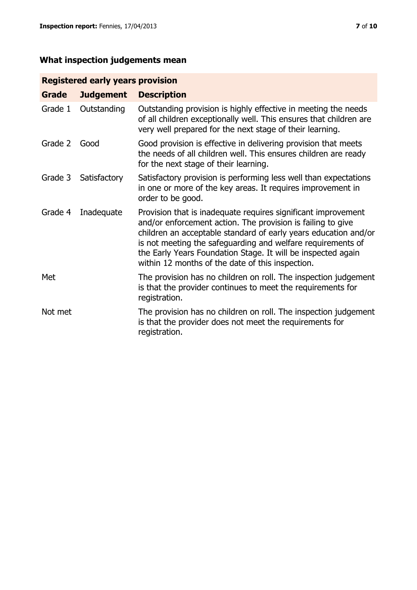# **What inspection judgements mean**

# **Registered early years provision**

| <b>Grade</b> | <b>Judgement</b> | <b>Description</b>                                                                                                                                                                                                                                                                                                                                                                 |
|--------------|------------------|------------------------------------------------------------------------------------------------------------------------------------------------------------------------------------------------------------------------------------------------------------------------------------------------------------------------------------------------------------------------------------|
| Grade 1      | Outstanding      | Outstanding provision is highly effective in meeting the needs<br>of all children exceptionally well. This ensures that children are<br>very well prepared for the next stage of their learning.                                                                                                                                                                                   |
| Grade 2      | Good             | Good provision is effective in delivering provision that meets<br>the needs of all children well. This ensures children are ready<br>for the next stage of their learning.                                                                                                                                                                                                         |
| Grade 3      | Satisfactory     | Satisfactory provision is performing less well than expectations<br>in one or more of the key areas. It requires improvement in<br>order to be good.                                                                                                                                                                                                                               |
| Grade 4      | Inadequate       | Provision that is inadequate requires significant improvement<br>and/or enforcement action. The provision is failing to give<br>children an acceptable standard of early years education and/or<br>is not meeting the safeguarding and welfare requirements of<br>the Early Years Foundation Stage. It will be inspected again<br>within 12 months of the date of this inspection. |
| Met          |                  | The provision has no children on roll. The inspection judgement<br>is that the provider continues to meet the requirements for<br>registration.                                                                                                                                                                                                                                    |
| Not met      |                  | The provision has no children on roll. The inspection judgement<br>is that the provider does not meet the requirements for<br>registration.                                                                                                                                                                                                                                        |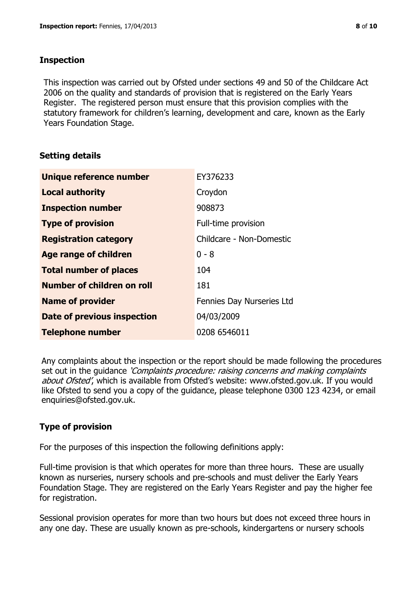#### **Inspection**

This inspection was carried out by Ofsted under sections 49 and 50 of the Childcare Act 2006 on the quality and standards of provision that is registered on the Early Years Register. The registered person must ensure that this provision complies with the statutory framework for children's learning, development and care, known as the Early Years Foundation Stage.

# **Setting details**

| <b>Unique reference number</b> | EY376233                  |
|--------------------------------|---------------------------|
| <b>Local authority</b>         | Croydon                   |
| <b>Inspection number</b>       | 908873                    |
| <b>Type of provision</b>       | Full-time provision       |
| <b>Registration category</b>   | Childcare - Non-Domestic  |
| <b>Age range of children</b>   | $0 - 8$                   |
| <b>Total number of places</b>  | 104                       |
| Number of children on roll     | 181                       |
| <b>Name of provider</b>        | Fennies Day Nurseries Ltd |
| Date of previous inspection    | 04/03/2009                |
| <b>Telephone number</b>        | 0208 6546011              |

Any complaints about the inspection or the report should be made following the procedures set out in the guidance *'Complaints procedure: raising concerns and making complaints* about Ofsted', which is available from Ofsted's website: www.ofsted.gov.uk. If you would like Ofsted to send you a copy of the guidance, please telephone 0300 123 4234, or email enquiries@ofsted.gov.uk.

# **Type of provision**

For the purposes of this inspection the following definitions apply:

Full-time provision is that which operates for more than three hours. These are usually known as nurseries, nursery schools and pre-schools and must deliver the Early Years Foundation Stage. They are registered on the Early Years Register and pay the higher fee for registration.

Sessional provision operates for more than two hours but does not exceed three hours in any one day. These are usually known as pre-schools, kindergartens or nursery schools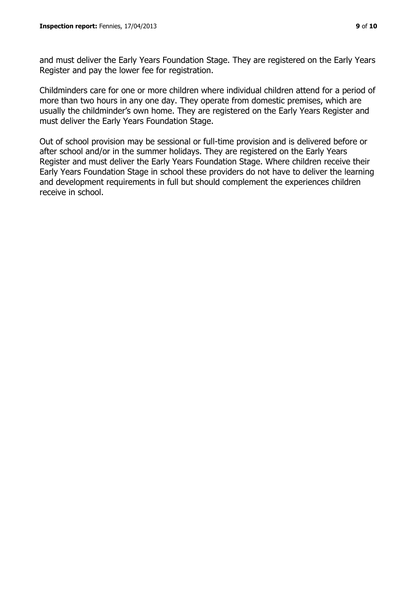and must deliver the Early Years Foundation Stage. They are registered on the Early Years Register and pay the lower fee for registration.

Childminders care for one or more children where individual children attend for a period of more than two hours in any one day. They operate from domestic premises, which are usually the childminder's own home. They are registered on the Early Years Register and must deliver the Early Years Foundation Stage.

Out of school provision may be sessional or full-time provision and is delivered before or after school and/or in the summer holidays. They are registered on the Early Years Register and must deliver the Early Years Foundation Stage. Where children receive their Early Years Foundation Stage in school these providers do not have to deliver the learning and development requirements in full but should complement the experiences children receive in school.